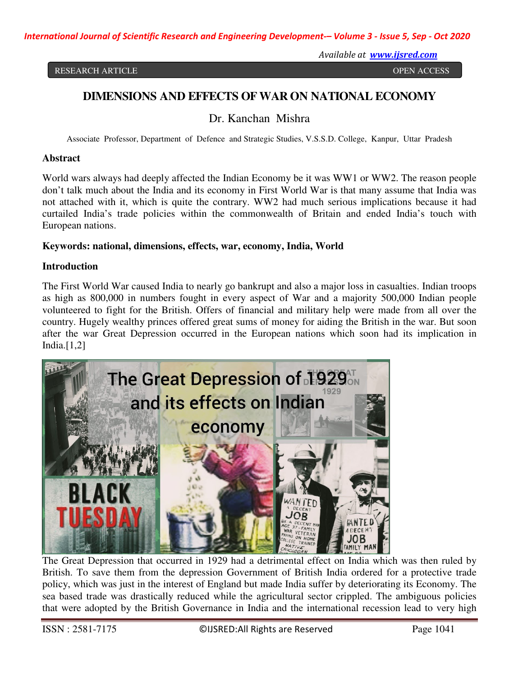*International Journal of Scientific Research and Engineering Development-– Volume 3 - Issue 5, Sep - Oct 2020* 

RESEARCH ARTICLE **SECOND ACCESS** 

*Available at www.ijsred.com*

# **DIMENSIONS AND EFFECTS OF WAR ON NATIONAL ECONOMY**

Dr. Kanchan Mishra

Associate Professor, Department of Defence and Strategic Studies, V.S.S.D. College, Kanpur, Uttar Pradesh

### **Abstract**

World wars always had deeply affected the Indian Economy be it was WW1 or WW2. The reason people don't talk much about the India and its economy in First World War is that many assume that India was not attached with it, which is quite the contrary. WW2 had much serious implications because it had curtailed India's trade policies within the commonwealth of Britain and ended India's touch with European nations.

# **Keywords: national, dimensions, effects, war, economy, India, World**

# **Introduction**

The First World War caused India to nearly go bankrupt and also a major loss in casualties. Indian troops as high as 800,000 in numbers fought in every aspect of War and a majority 500,000 Indian people volunteered to fight for the British. Offers of financial and military help were made from all over the country. Hugely wealthy princes offered great sums of money for aiding the British in the war. But soon after the war Great Depression occurred in the European nations which soon had its implication in India. $[1,2]$ 



The Great Depression that occurred in 1929 had a detrimental effect on India which was then ruled by British. To save them from the depression Government of British India ordered for a protective trade policy, which was just in the interest of England but made India suffer by deteriorating its Economy. The sea based trade was drastically reduced while the agricultural sector crippled. The ambiguous policies that were adopted by the British Governance in India and the international recession lead to very high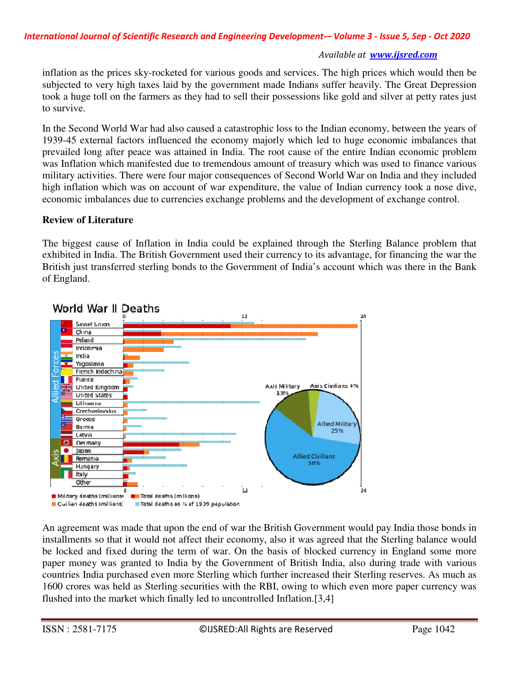inflation as the prices sky-rocketed for various goods and services. The high prices which would then be subjected to very high taxes laid by the government made Indians suffer heavily. The Great Depression took a huge toll on the farmers as they had to sell their possessions like gold and silver at petty rates just to survive.

In the Second World War had also caused a catastrophic loss to the Indian economy, between the years of 1939-45 external factors influenced the economy majorly which led to huge economic imbalances that prevailed long after peace was attained in India. The root cause of the entire Indian economic problem was Inflation which manifested due to tremendous amount of treasury which was used to finance various military activities. There were four major consequences of Second World War on India and they included high inflation which was on account of war expenditure, the value of Indian currency took a nose dive, economic imbalances due to currencies exchange problems and the development of exchange control.

# **Review of Literature**

The biggest cause of Inflation in India could be explained through the Sterling Balance problem that exhibited in India. The British Government used their currency to its advantage, for financing the war the British just transferred sterling bonds to the Government of India's account which was there in the Bank of England.



# World War II Deaths

An agreement was made that upon the end of war the British Government would pay India those bonds in installments so that it would not affect their economy, also it was agreed that the Sterling balance would be locked and fixed during the term of war. On the basis of blocked currency in England some more paper money was granted to India by the Government of British India, also during trade with various countries India purchased even more Sterling which further increased their Sterling reserves. As much as 1600 crores was held as Sterling securities with the RBI, owing to which even more paper currency was flushed into the market which finally led to uncontrolled Inflation.[3,4]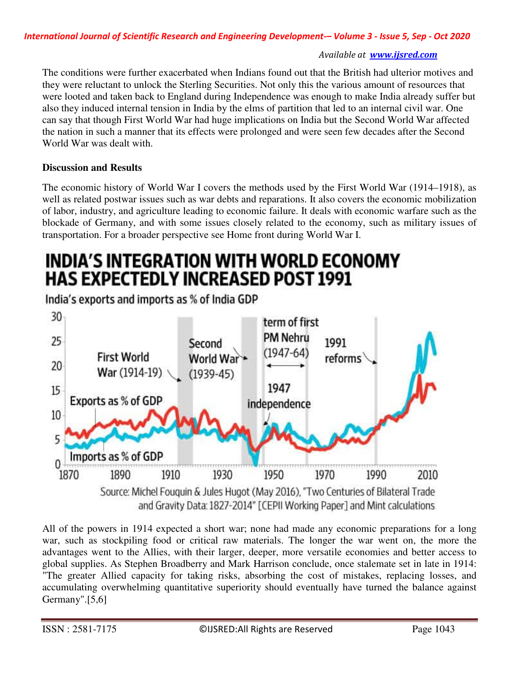The conditions were further exacerbated when Indians found out that the British had ulterior motives and they were reluctant to unlock the Sterling Securities. Not only this the various amount of resources that were looted and taken back to England during Independence was enough to make India already suffer but also they induced internal tension in India by the elms of partition that led to an internal civil war. One can say that though First World War had huge implications on India but the Second World War affected the nation in such a manner that its effects were prolonged and were seen few decades after the Second World War was dealt with.

# **Discussion and Results**

The economic history of World War I covers the methods used by the First World War (1914–1918), as well as related postwar issues such as war debts and reparations. It also covers the economic mobilization of labor, industry, and agriculture leading to economic failure. It deals with economic warfare such as the blockade of Germany, and with some issues closely related to the economy, such as military issues of transportation. For a broader perspective see Home front during World War I.

# INDIA'S INTEGRATION WITH WORLD ECONOMY **HAS EXPECTEDLY INCREASED POST 1991**

India's exports and imports as % of India GDP



All of the powers in 1914 expected a short war; none had made any economic preparations for a long war, such as stockpiling food or critical raw materials. The longer the war went on, the more the advantages went to the Allies, with their larger, deeper, more versatile economies and better access to global supplies. As Stephen Broadberry and Mark Harrison conclude, once stalemate set in late in 1914: "The greater Allied capacity for taking risks, absorbing the cost of mistakes, replacing losses, and accumulating overwhelming quantitative superiority should eventually have turned the balance against Germany". $[5,6]$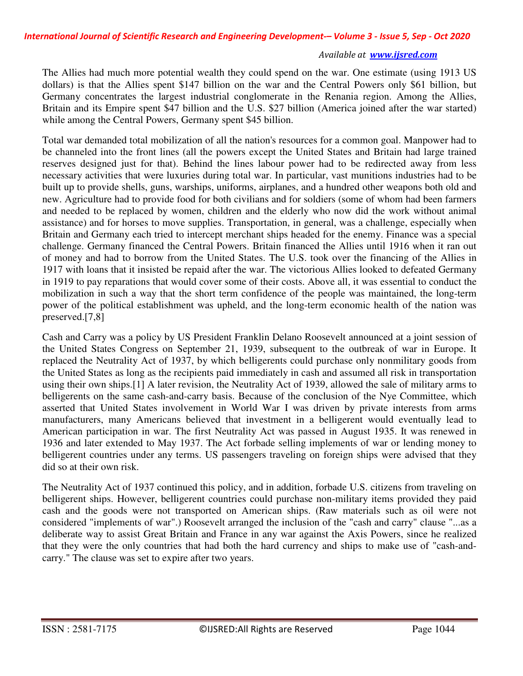The Allies had much more potential wealth they could spend on the war. One estimate (using 1913 US dollars) is that the Allies spent \$147 billion on the war and the Central Powers only \$61 billion, but Germany concentrates the largest industrial conglomerate in the Renania region. Among the Allies, Britain and its Empire spent \$47 billion and the U.S. \$27 billion (America joined after the war started) while among the Central Powers, Germany spent \$45 billion.

Total war demanded total mobilization of all the nation's resources for a common goal. Manpower had to be channeled into the front lines (all the powers except the United States and Britain had large trained reserves designed just for that). Behind the lines labour power had to be redirected away from less necessary activities that were luxuries during total war. In particular, vast munitions industries had to be built up to provide shells, guns, warships, uniforms, airplanes, and a hundred other weapons both old and new. Agriculture had to provide food for both civilians and for soldiers (some of whom had been farmers and needed to be replaced by women, children and the elderly who now did the work without animal assistance) and for horses to move supplies. Transportation, in general, was a challenge, especially when Britain and Germany each tried to intercept merchant ships headed for the enemy. Finance was a special challenge. Germany financed the Central Powers. Britain financed the Allies until 1916 when it ran out of money and had to borrow from the United States. The U.S. took over the financing of the Allies in 1917 with loans that it insisted be repaid after the war. The victorious Allies looked to defeated Germany in 1919 to pay reparations that would cover some of their costs. Above all, it was essential to conduct the mobilization in such a way that the short term confidence of the people was maintained, the long-term power of the political establishment was upheld, and the long-term economic health of the nation was preserved.[7,8]

Cash and Carry was a policy by US President Franklin Delano Roosevelt announced at a joint session of the United States Congress on September 21, 1939, subsequent to the outbreak of war in Europe. It replaced the Neutrality Act of 1937, by which belligerents could purchase only nonmilitary goods from the United States as long as the recipients paid immediately in cash and assumed all risk in transportation using their own ships.[1] A later revision, the Neutrality Act of 1939, allowed the sale of military arms to belligerents on the same cash-and-carry basis. Because of the conclusion of the Nye Committee, which asserted that United States involvement in World War I was driven by private interests from arms manufacturers, many Americans believed that investment in a belligerent would eventually lead to American participation in war. The first Neutrality Act was passed in August 1935. It was renewed in 1936 and later extended to May 1937. The Act forbade selling implements of war or lending money to belligerent countries under any terms. US passengers traveling on foreign ships were advised that they did so at their own risk.

The Neutrality Act of 1937 continued this policy, and in addition, forbade U.S. citizens from traveling on belligerent ships. However, belligerent countries could purchase non-military items provided they paid cash and the goods were not transported on American ships. (Raw materials such as oil were not considered "implements of war".) Roosevelt arranged the inclusion of the "cash and carry" clause "...as a deliberate way to assist Great Britain and France in any war against the Axis Powers, since he realized that they were the only countries that had both the hard currency and ships to make use of "cash-andcarry." The clause was set to expire after two years.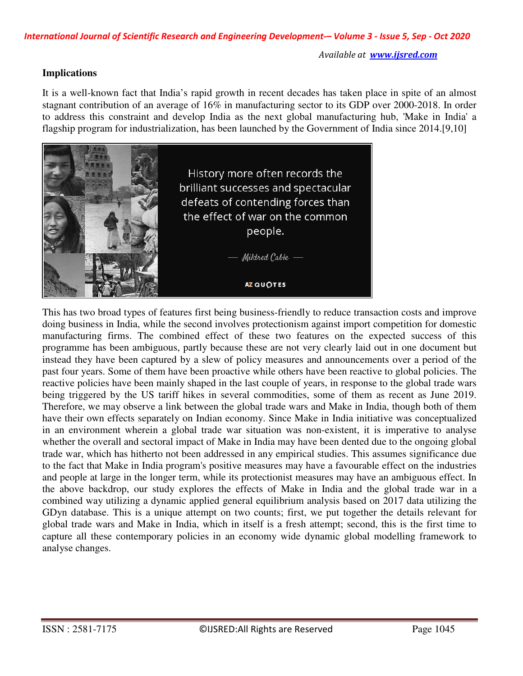# **Implications**

It is a well-known fact that India's rapid growth in recent decades has taken place in spite of an almost stagnant contribution of an average of 16% in manufacturing sector to its GDP over 2000-2018. In order to address this constraint and develop India as the next global manufacturing hub, 'Make in India' a flagship program for industrialization, has been launched by the Government of India since 2014.[9,10]



This has two broad types of features first being business-friendly to reduce transaction costs and improve doing business in India, while the second involves protectionism against import competition for domestic manufacturing firms. The combined effect of these two features on the expected success of this programme has been ambiguous, partly because these are not very clearly laid out in one document but instead they have been captured by a slew of policy measures and announcements over a period of the past four years. Some of them have been proactive while others have been reactive to global policies. The reactive policies have been mainly shaped in the last couple of years, in response to the global trade wars being triggered by the US tariff hikes in several commodities, some of them as recent as June 2019. Therefore, we may observe a link between the global trade wars and Make in India, though both of them have their own effects separately on Indian economy. Since Make in India initiative was conceptualized in an environment wherein a global trade war situation was non-existent, it is imperative to analyse whether the overall and sectoral impact of Make in India may have been dented due to the ongoing global trade war, which has hitherto not been addressed in any empirical studies. This assumes significance due to the fact that Make in India program's positive measures may have a favourable effect on the industries and people at large in the longer term, while its protectionist measures may have an ambiguous effect. In the above backdrop, our study explores the effects of Make in India and the global trade war in a combined way utilizing a dynamic applied general equilibrium analysis based on 2017 data utilizing the GDyn database. This is a unique attempt on two counts; first, we put together the details relevant for global trade wars and Make in India, which in itself is a fresh attempt; second, this is the first time to capture all these contemporary policies in an economy wide dynamic global modelling framework to analyse changes.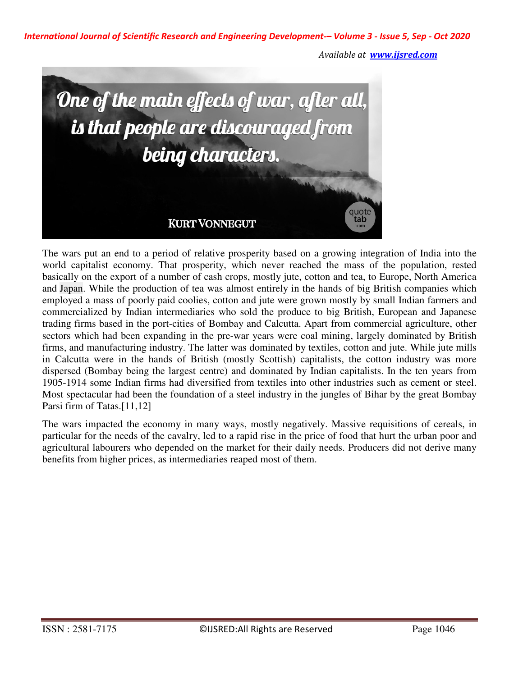*International Journal of Scientific Research and Engineering Development-– Volume 3 - Issue 5, Sep - Oct 2020* 

*Available at www.ijsred.com*



The wars put an end to a period of relative prosperity based on a growing integration of India into the world capitalist economy. That prosperity, which never reached the mass of the population, rested basically on the export of a number of cash crops, mostly jute, cotton and tea, to Europe, North America and Japan. While the production of tea was almost entirely in the hands of big British companies which employed a mass of poorly paid coolies, cotton and jute were grown mostly by small Indian farmers and commercialized by Indian intermediaries who sold the produce to big British, European and Japanese trading firms based in the port-cities of Bombay and Calcutta. Apart from commercial agriculture, other sectors which had been expanding in the pre-war years were coal mining, largely dominated by British firms, and manufacturing industry. The latter was dominated by textiles, cotton and jute. While jute mills in Calcutta were in the hands of British (mostly Scottish) capitalists, the cotton industry was more dispersed (Bombay being the largest centre) and dominated by Indian capitalists. In the ten years from 1905-1914 some Indian firms had diversified from textiles into other industries such as cement or steel. Most spectacular had been the foundation of a steel industry in the jungles of Bihar by the great Bombay Parsi firm of Tatas.<sup>[11,12]</sup>

The wars impacted the economy in many ways, mostly negatively. Massive requisitions of cereals, in particular for the needs of the cavalry, led to a rapid rise in the price of food that hurt the urban poor and agricultural labourers who depended on the market for their daily needs. Producers did not derive many benefits from higher prices, as intermediaries reaped most of them.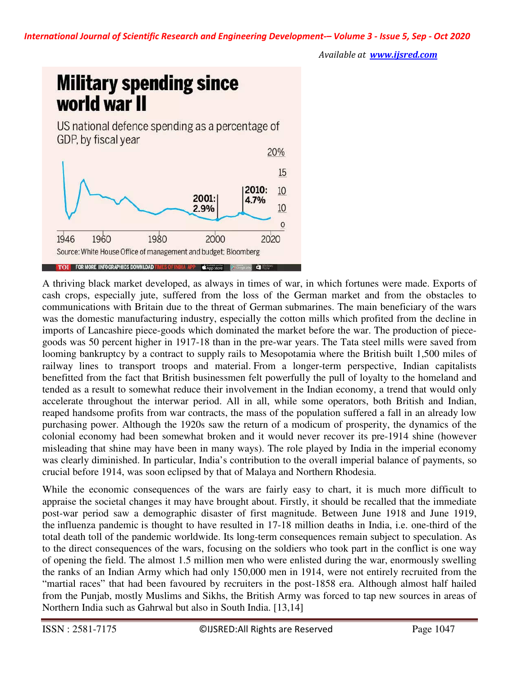

A thriving black market developed, as always in times of war, in which fortunes were made. Exports of cash crops, especially jute, suffered from the loss of the German market and from the obstacles to communications with Britain due to the threat of German submarines. The main beneficiary of the wars was the domestic manufacturing industry, especially the cotton mills which profited from the decline in imports of Lancashire piece-goods which dominated the market before the war. The production of piecegoods was 50 percent higher in 1917-18 than in the pre-war years. The Tata steel mills were saved from looming bankruptcy by a contract to supply rails to Mesopotamia where the British built 1,500 miles of railway lines to transport troops and material. From a longer-term perspective, Indian capitalists benefitted from the fact that British businessmen felt powerfully the pull of loyalty to the homeland and tended as a result to somewhat reduce their involvement in the Indian economy, a trend that would only accelerate throughout the interwar period. All in all, while some operators, both British and Indian, reaped handsome profits from war contracts, the mass of the population suffered a fall in an already low purchasing power. Although the 1920s saw the return of a modicum of prosperity, the dynamics of the colonial economy had been somewhat broken and it would never recover its pre-1914 shine (however misleading that shine may have been in many ways). The role played by India in the imperial economy was clearly diminished. In particular, India's contribution to the overall imperial balance of payments, so crucial before 1914, was soon eclipsed by that of Malaya and Northern Rhodesia.

While the economic consequences of the wars are fairly easy to chart, it is much more difficult to appraise the societal changes it may have brought about. Firstly, it should be recalled that the immediate post-war period saw a demographic disaster of first magnitude. Between June 1918 and June 1919, the influenza pandemic is thought to have resulted in 17-18 million deaths in India, i.e. one-third of the total death toll of the pandemic worldwide. Its long-term consequences remain subject to speculation. As to the direct consequences of the wars, focusing on the soldiers who took part in the conflict is one way of opening the field. The almost 1.5 million men who were enlisted during the war, enormously swelling the ranks of an Indian Army which had only 150,000 men in 1914, were not entirely recruited from the "martial races" that had been favoured by recruiters in the post-1858 era. Although almost half hailed from the Punjab, mostly Muslims and Sikhs, the British Army was forced to tap new sources in areas of Northern India such as Gahrwal but also in South India. [13,14]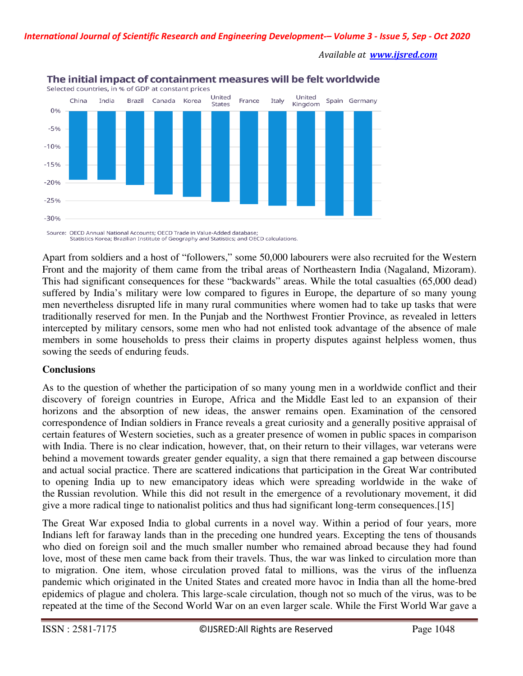

# The initial impact of containment measures will be felt worldwide

Source: OECD Annual National Accounts: OECD Trade in Value-Added database: Statistics Korea; Brazilian Institute of Geography and Statistics; and OECD calculations.

Apart from soldiers and a host of "followers," some 50,000 labourers were also recruited for the Western Front and the majority of them came from the tribal areas of Northeastern India (Nagaland, Mizoram). This had significant consequences for these "backwards" areas. While the total casualties (65,000 dead) suffered by India's military were low compared to figures in Europe, the departure of so many young men nevertheless disrupted life in many rural communities where women had to take up tasks that were traditionally reserved for men. In the Punjab and the Northwest Frontier Province, as revealed in letters intercepted by military censors, some men who had not enlisted took advantage of the absence of male members in some households to press their claims in property disputes against helpless women, thus sowing the seeds of enduring feuds.

# **Conclusions**

As to the question of whether the participation of so many young men in a worldwide conflict and their discovery of foreign countries in Europe, Africa and the Middle East led to an expansion of their horizons and the absorption of new ideas, the answer remains open. Examination of the censored correspondence of Indian soldiers in France reveals a great curiosity and a generally positive appraisal of certain features of Western societies, such as a greater presence of women in public spaces in comparison with India. There is no clear indication, however, that, on their return to their villages, war veterans were behind a movement towards greater gender equality, a sign that there remained a gap between discourse and actual social practice. There are scattered indications that participation in the Great War contributed to opening India up to new emancipatory ideas which were spreading worldwide in the wake of the Russian revolution. While this did not result in the emergence of a revolutionary movement, it did give a more radical tinge to nationalist politics and thus had significant long-term consequences.[15]

The Great War exposed India to global currents in a novel way. Within a period of four years, more Indians left for faraway lands than in the preceding one hundred years. Excepting the tens of thousands who died on foreign soil and the much smaller number who remained abroad because they had found love, most of these men came back from their travels. Thus, the war was linked to circulation more than to migration. One item, whose circulation proved fatal to millions, was the virus of the influenza pandemic which originated in the United States and created more havoc in India than all the home-bred epidemics of plague and cholera. This large-scale circulation, though not so much of the virus, was to be repeated at the time of the Second World War on an even larger scale. While the First World War gave a